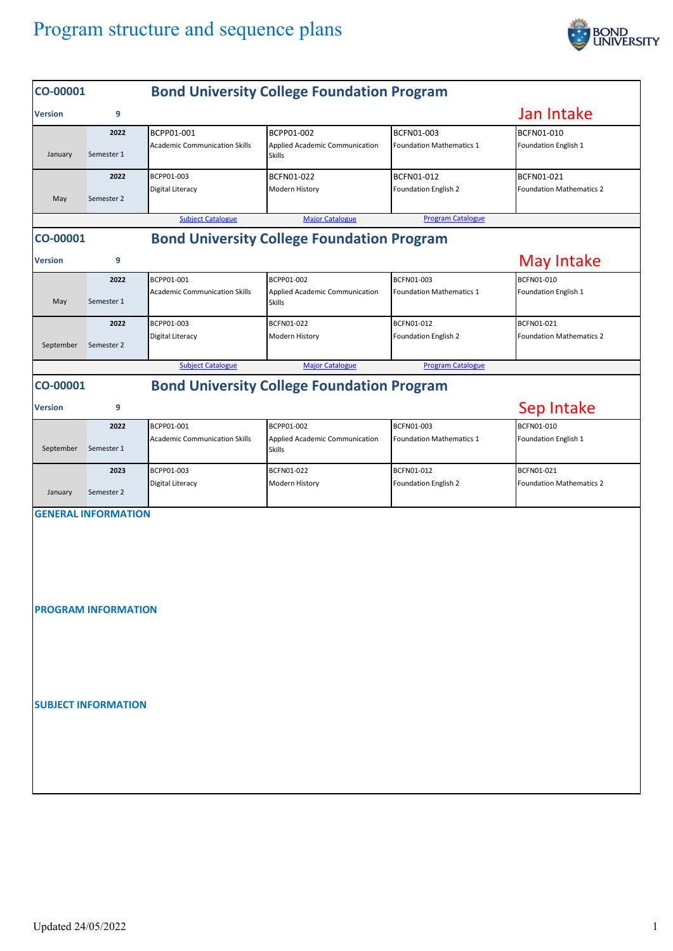## Program structure and sequence plans



| CO-00001                                                      |            | <b>Bond University College Foundation Program</b> |                                                 |                                 |                                 |  |  |  |  |
|---------------------------------------------------------------|------------|---------------------------------------------------|-------------------------------------------------|---------------------------------|---------------------------------|--|--|--|--|
| <b>Version</b>                                                | 9          |                                                   |                                                 |                                 | Jan Intake                      |  |  |  |  |
|                                                               | 2022       | BCPP01-001                                        | BCPP01-002                                      | BCFN01-003                      | BCFN01-010                      |  |  |  |  |
| January                                                       | Semester 1 | <b>Academic Communication Skills</b>              | Applied Academic Communication<br>Skills        | <b>Foundation Mathematics 1</b> | Foundation English 1            |  |  |  |  |
|                                                               | 2022       | BCPP01-003                                        | BCFN01-022                                      | BCFN01-012                      | BCFN01-021                      |  |  |  |  |
| May                                                           | Semester 2 | Digital Literacy                                  | Modern History                                  | Foundation English 2            | <b>Foundation Mathematics 2</b> |  |  |  |  |
|                                                               |            | <b>Subject Catalogue</b>                          | <b>Major Catalogue</b>                          | <b>Program Catalogue</b>        |                                 |  |  |  |  |
| <b>Bond University College Foundation Program</b><br>CO-00001 |            |                                                   |                                                 |                                 |                                 |  |  |  |  |
| <b>Version</b>                                                | 9          |                                                   |                                                 |                                 | <b>May Intake</b>               |  |  |  |  |
|                                                               | 2022       | BCPP01-001                                        | BCPP01-002                                      | BCFN01-003                      | BCFN01-010                      |  |  |  |  |
| May                                                           | Semester 1 | <b>Academic Communication Skills</b>              | Applied Academic Communication<br><b>Skills</b> | <b>Foundation Mathematics 1</b> | Foundation English 1            |  |  |  |  |
|                                                               | 2022       | BCPP01-003                                        | BCFN01-022                                      | BCFN01-012                      | <b>BCFN01-021</b>               |  |  |  |  |
| September                                                     | Semester 2 | Digital Literacy                                  | Modern History                                  | Foundation English 2            | <b>Foundation Mathematics 2</b> |  |  |  |  |
|                                                               |            | <b>Subject Catalogue</b>                          | <b>Major Catalogue</b>                          | <b>Program Catalogue</b>        |                                 |  |  |  |  |
| <b>Bond University College Foundation Program</b><br>CO-00001 |            |                                                   |                                                 |                                 |                                 |  |  |  |  |
| Sep Intake<br>9<br><b>Version</b>                             |            |                                                   |                                                 |                                 |                                 |  |  |  |  |
|                                                               | 2022       | BCPP01-001                                        | BCPP01-002                                      | BCFN01-003                      | BCFN01-010                      |  |  |  |  |
| September                                                     | Semester 1 | <b>Academic Communication Skills</b>              | Applied Academic Communication<br>Skills        | <b>Foundation Mathematics 1</b> | Foundation English 1            |  |  |  |  |
|                                                               | 2023       | BCPP01-003                                        | BCFN01-022                                      | BCFN01-012                      | BCFN01-021                      |  |  |  |  |
| January                                                       | Semester 2 | Digital Literacy                                  | Modern History                                  | Foundation English 2            | <b>Foundation Mathematics 2</b> |  |  |  |  |
| <b>GENERAL INFORMATION</b>                                    |            |                                                   |                                                 |                                 |                                 |  |  |  |  |
|                                                               |            |                                                   |                                                 |                                 |                                 |  |  |  |  |
| <b>PROGRAM INFORMATION</b>                                    |            |                                                   |                                                 |                                 |                                 |  |  |  |  |
|                                                               |            |                                                   |                                                 |                                 |                                 |  |  |  |  |
|                                                               |            |                                                   |                                                 |                                 |                                 |  |  |  |  |
| <b>SUBJECT INFORMATION</b>                                    |            |                                                   |                                                 |                                 |                                 |  |  |  |  |
|                                                               |            |                                                   |                                                 |                                 |                                 |  |  |  |  |
|                                                               |            |                                                   |                                                 |                                 |                                 |  |  |  |  |
|                                                               |            |                                                   |                                                 |                                 |                                 |  |  |  |  |